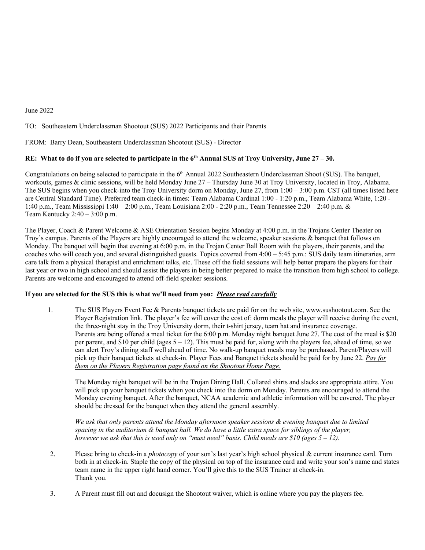### June 2022

TO: Southeastern Underclassman Shootout (SUS) 2022 Participants and their Parents

FROM: Barry Dean, Southeastern Underclassman Shootout (SUS) - Director

# RE: What to do if you are selected to participate in the  $6<sup>th</sup>$  Annual SUS at Troy University, June 27 – 30.

Congratulations on being selected to participate in the 6<sup>th</sup> Annual 2022 Southeastern Underclassman Shoot (SUS). The banquet, workouts, games & clinic sessions, will be held Monday June 27 – Thursday June 30 at Troy University, located in Troy, Alabama. The SUS begins when you check-into the Troy University dorm on Monday, June 27, from 1:00 – 3:00 p.m. CST (all times listed here are Central Standard Time). Preferred team check-in times: Team Alabama Cardinal 1:00 - 1:20 p.m., Team Alabama White, 1:20 - 1:40 p.m., Team Mississippi 1:40 – 2:00 p.m., Team Louisiana 2:00 - 2:20 p.m., Team Tennessee 2:20 – 2:40 p.m. & Team Kentucky 2:40 – 3:00 p.m.

The Player, Coach & Parent Welcome & ASE Orientation Session begins Monday at 4:00 p.m. in the Trojans Center Theater on Troy's campus. Parents of the Players are highly encouraged to attend the welcome, speaker sessions & banquet that follows on Monday. The banquet will begin that evening at 6:00 p.m. in the Trojan Center Ball Room with the players, their parents, and the coaches who will coach you, and several distinguished guests. Topics covered from 4:00 – 5:45 p.m.: SUS daily team itineraries, arm care talk from a physical therapist and enrichment talks, etc. These off the field sessions will help better prepare the players for their last year or two in high school and should assist the players in being better prepared to make the transition from high school to college. Parents are welcome and encouraged to attend off-field speaker sessions.

### **If you are selected for the SUS this is what we'll need from you:** *Please read carefully*

 1. The SUS Players Event Fee & Parents banquet tickets are paid for on the web site, www.sushootout.com. See the Player Registration link. The player's fee will cover the cost of: dorm meals the player will receive during the event, the three-night stay in the Troy University dorm, their t-shirt jersey, team hat and insurance coverage. Parents are being offered a meal ticket for the 6:00 p.m. Monday night banquet June 27. The cost of the meal is \$20 per parent, and \$10 per child (ages 5 – 12). This must be paid for, along with the players fee, ahead of time, so we can alert Troy's dining staff well ahead of time. No walk-up banquet meals may be purchased. Parent/Players will pick up their banquet tickets at check-in. Player Fees and Banquet tickets should be paid for by June 22. *Pay for them on the Players Registration page found on the Shootout Home Page.*

The Monday night banquet will be in the Trojan Dining Hall. Collared shirts and slacks are appropriate attire. You will pick up your banquet tickets when you check into the dorm on Monday. Parents are encouraged to attend the Monday evening banquet. After the banquet, NCAA academic and athletic information will be covered. The player should be dressed for the banquet when they attend the general assembly.

*We ask that only parents attend the Monday afternoon speaker sessions & evening banquet due to limited* spacing in the auditorium & banquet hall. We do have a little extra space for siblings of the player, however we ask that this is used only on "must need" basis. Child meals are \$10 (ages  $5 - 12$ ).

- 2. Please bring to check-in a *photocopy* of your son's last year's high school physical & current insurance card. Turn both in at check-in. Staple the copy of the physical on top of the insurance card and write your son's name and states team name in the upper right hand corner. You'll give this to the SUS Trainer at check-in. Thank you.
- 3. A Parent must fill out and docusign the Shootout waiver, which is online where you pay the players fee.